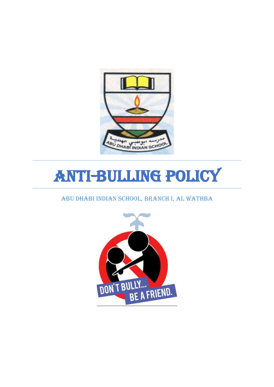

# Anti-bulling Policy

#### Abu Dhabi Indian School, Branch I, Al Wathba

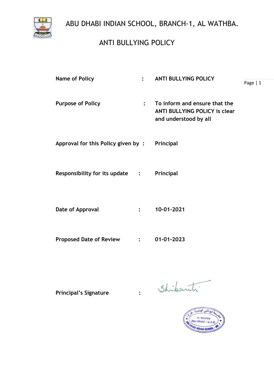# ANTI BULLYING POLICY

| <b>Name of Policy</b><br>$\ddot{\cdot}$ |                | <b>ANTI BULLYING POLICY</b>                                                                    |           |
|-----------------------------------------|----------------|------------------------------------------------------------------------------------------------|-----------|
|                                         |                |                                                                                                | Page $ 1$ |
| <b>Purpose of Policy</b>                | $\ddot{\cdot}$ | To inform and ensure that the<br><b>ANTI BULLYING POLICY is clear</b><br>and understood by all |           |
| Approval for this Policy given by:      |                | Principal                                                                                      |           |
| Responsibility for its update :         |                | Principal                                                                                      |           |
| Date of Approval                        | $\ddot{\cdot}$ | 10-01-2021                                                                                     |           |
| <b>Proposed Date of Review</b>          | $\mathcal{L}$  | 01-01-2023                                                                                     |           |

Principal's Signature : Shibanti

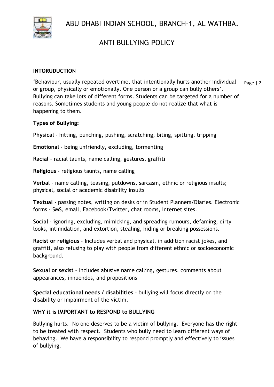

## ANTI BULLYING POLICY

#### **INTORUDUCTION**

Page | 2 'Behaviour, usually repeated overtime, that intentionally hurts another individual or group, physically or emotionally. One person or a group can bully others'. Bullying can take lots of different forms. Students can be targeted for a number of reasons. Sometimes students and young people do not realize that what is happening to them.

**Types of Bullying:**

**Physical** - hitting, punching, pushing, scratching, biting, spitting, tripping

**Emotional** - being unfriendly, excluding, tormenting

**Racial** - racial taunts, name calling, gestures, graffiti

**Religious** - religious taunts, name calling

**Verbal** - name calling, teasing, putdowns, sarcasm, ethnic or religious insults; physical, social or academic disability insults

**Textual** - passing notes, writing on desks or in Student Planners/Diaries. Electronic forms - SMS, email, Facebook/Twitter, chat rooms, Internet sites.

**Social** - ignoring, excluding, mimicking, and spreading rumours, defaming, dirty looks, intimidation, and extortion, stealing, hiding or breaking possessions.

**Racist or religious** - Includes verbal and physical, in addition racist jokes, and graffiti, also refusing to play with people from different ethnic or socioeconomic background.

**Sexual or sexist** – Includes abusive name calling, gestures, comments about appearances, innuendos, and propositions

**Special educational needs / disabilities** – bullying will focus directly on the disability or impairment of the victim.

#### **WHY it is IMPORTANT to RESPOND to BULLYING**

Bullying hurts. No one deserves to be a victim of bullying. Everyone has the right to be treated with respect. Students who bully need to learn different ways of behaving. We have a responsibility to respond promptly and effectively to issues of bullying.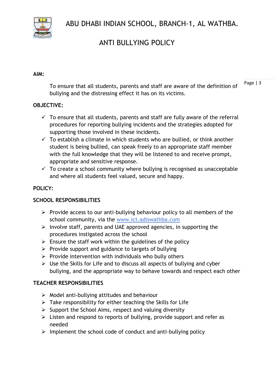

# ANTI BULLYING POLICY

#### **AIM:**

Page | 3 To ensure that all students, parents and staff are aware of the definition of bullying and the distressing effect it has on its victims.

#### **OBJECTIVE:**

- $\checkmark$  To ensure that all students, parents and staff are fully aware of the referral procedures for reporting bullying incidents and the strategies adopted for supporting those involved in these incidents.
- $\checkmark$  To establish a climate in which students who are bullied, or think another student is being bullied, can speak freely to an appropriate staff member with the full knowledge that they will be listened to and receive prompt, appropriate and sensitive response.
- $\checkmark$  To create a school community where bullying is recognised as unacceptable and where all students feel valued, secure and happy.

#### **POLICY:**

#### **SCHOOL RESPONSIBILITIES**

- $\triangleright$  Provide access to our anti-bullying behaviour policy to all members of the school community, via the www.ict.adiswathba.com
- $\triangleright$  Involve staff, parents and UAE approved agencies, in supporting the procedures instigated across the school
- $\triangleright$  Ensure the staff work within the guidelines of the policy
- ➢ Provide support and guidance to targets of bullying
- $\triangleright$  Provide intervention with individuals who bully others
- $\triangleright$  Use the Skills for Life and to discuss all aspects of bullying and cyber bullying, and the appropriate way to behave towards and respect each other

#### **TEACHER RESPONSIBILITIES**

- $\triangleright$  Model anti-bullying attitudes and behaviour
- $\triangleright$  Take responsibility for either teaching the Skills for Life
- $\triangleright$  Support the School Aims, respect and valuing diversity
- ➢ Listen and respond to reports of bullying, provide support and refer as needed
- ➢ Implement the school code of conduct and anti-bullying policy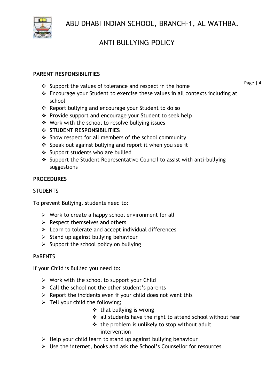

# ANTI BULLYING POLICY

#### **PARENT RESPONSIBILITIES**

- ❖ Support the values of tolerance and respect in the home
- ❖ Encourage your Student to exercise these values in all contexts including at school
- ❖ Report bullying and encourage your Student to do so
- ❖ Provide support and encourage your Student to seek help
- ❖ Work with the school to resolve bullying issues
- ❖ **STUDENT RESPONSIBILITIES**
- ❖ Show respect for all members of the school community
- ❖ Speak out against bullying and report it when you see it
- ❖ Support students who are bullied
- ❖ Support the Student Representative Council to assist with anti-bullying suggestions

#### **PROCEDURES**

#### **STUDENTS**

To prevent Bullying, students need to:

- ➢ Work to create a happy school environment for all
- $\triangleright$  Respect themselves and others
- ➢ Learn to tolerate and accept individual differences
- $\triangleright$  Stand up against bullying behaviour
- $\triangleright$  Support the school policy on bullying

#### PARENTS

If your Child is Bullied you need to:

- $\triangleright$  Work with the school to support your Child
- $\triangleright$  Call the school not the other student's parents
- $\triangleright$  Report the incidents even if your child does not want this
- $\triangleright$  Tell your child the following;
	- ❖ that bullying is wrong
	- ❖ all students have the right to attend school without fear
	- ❖ the problem is unlikely to stop without adult intervention
- $\triangleright$  Help your child learn to stand up against bullying behaviour
- ➢ Use the internet, books and ask the School's Counsellor for resources

Page | 4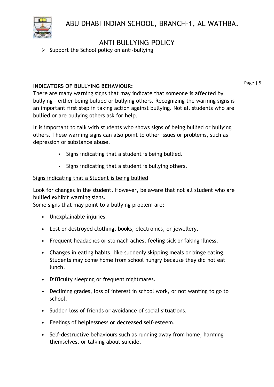

### ANTI BULLYING POLICY

➢ Support the School policy on anti-bullying

#### **INDICATORS OF BULLYING BEHAVIOUR:**

Page | 5

There are many warning signs that may indicate that someone is affected by bullying – either being bullied or bullying others. Recognizing the warning signs is an important first step in taking action against bullying. Not all students who are bullied or are bullying others ask for help.

It is important to talk with students who shows signs of being bullied or bullying others. These warning signs can also point to other issues or problems, such as depression or substance abuse.

- Signs indicating that a student is being bullied.
- Signs indicating that a student is bullying others.

#### Signs indicating that a Student is being bullied

Look for changes in the student. However, be aware that not all student who are bullied exhibit warning signs.

Some signs that may point to a bullying problem are:

- Unexplainable injuries.
- Lost or destroyed clothing, books, electronics, or jewellery.
- Frequent headaches or stomach aches, feeling sick or faking illness.
- Changes in eating habits, like suddenly skipping meals or binge eating. Students may come home from school hungry because they did not eat lunch.
- Difficulty sleeping or frequent nightmares.
- Declining grades, loss of interest in school work, or not wanting to go to school.
- Sudden loss of friends or avoidance of social situations.
- Feelings of helplessness or decreased self-esteem.
- Self-destructive behaviours such as running away from home, harming themselves, or talking about suicide.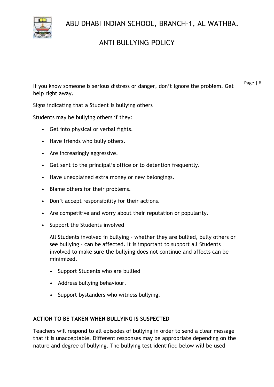# ANTI BULLYING POLICY

Page | 6 If you know someone is serious distress or danger, don't ignore the problem. Get help right away.

Signs indicating that a Student is bullying others

Students may be bullying others if they:

- Get into physical or verbal fights.
- Have friends who bully others.
- Are increasingly aggressive.
- Get sent to the principal's office or to detention frequently.
- Have unexplained extra money or new belongings.
- Blame others for their problems.
- Don't accept responsibility for their actions.
- Are competitive and worry about their reputation or popularity.
- Support the Students involved

All Students involved in bullying – whether they are bullied, bully others or see bullying – can be affected. It is important to support all Students involved to make sure the bullying does not continue and affects can be minimized.

- Support Students who are bullied
- Address bullying behaviour.
- Support bystanders who witness bullying.

#### **ACTION TO BE TAKEN WHEN BULLYING IS SUSPECTED**

Teachers will respond to all episodes of bullying in order to send a clear message that it is unacceptable. Different responses may be appropriate depending on the nature and degree of bullying. The bullying test identified below will be used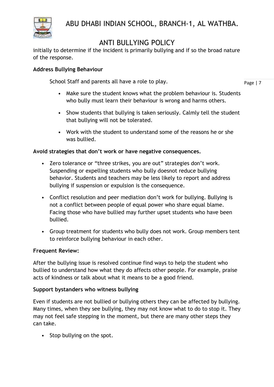

### ANTI BULLYING POLICY

initially to determine if the incident is primarily bullying and if so the broad nature of the response.

#### **Address Bullying Behaviour**

School Staff and parents all have a role to play.

Page | 7

- Make sure the student knows what the problem behaviour is. Students who bully must learn their behaviour is wrong and harms others.
- Show students that bullying is taken seriously. Calmly tell the student that bullying will not be tolerated.
- Work with the student to understand some of the reasons he or she was bullied.

#### **Avoid strategies that don't work or have negative consequences.**

- Zero tolerance or "three strikes, you are out" strategies don't work. Suspending or expelling students who bully doesnot reduce bullying behavior. Students and teachers may be less likely to report and address bullying if suspension or expulsion is the consequence.
- Conflict resolution and peer mediation don't work for bullying. Bullying is not a conflict between people of equal power who share equal blame. Facing those who have bullied may further upset students who have been bullied.
- Group treatment for students who bully does not work. Group members tent to reinforce bullying behaviour in each other.

#### **Frequent Review:**

After the bullying issue is resolved continue find ways to help the student who bullied to understand how what they do affects other people. For example, praise acts of kindness or talk about what it means to be a good friend.

#### **Support bystanders who witness bullying**

Even if students are not bullied or bullying others they can be affected by bullying. Many times, when they see bullying, they may not know what to do to stop it. They may not feel safe stepping in the moment, but there are many other steps they can take.

• Stop bullying on the spot.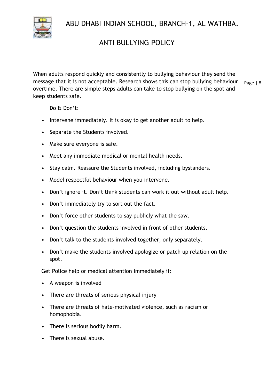

### ANTI BULLYING POLICY

Page | 8 When adults respond quickly and consistently to bullying behaviour they send the message that it is not acceptable. Research shows this can stop bullying behaviour overtime. There are simple steps adults can take to stop bullying on the spot and keep students safe.

Do & Don't:

- Intervene immediately. It is okay to get another adult to help.
- Separate the Students involved.
- Make sure everyone is safe.
- Meet any immediate medical or mental health needs.
- Stay calm. Reassure the Students involved, including bystanders.
- Model respectful behaviour when you intervene.
- Don't ignore it. Don't think students can work it out without adult help.
- Don't immediately try to sort out the fact.
- Don't force other students to say publicly what the saw.
- Don't question the students involved in front of other students.
- Don't talk to the students involved together, only separately.
- Don't make the students involved apologize or patch up relation on the spot.

Get Police help or medical attention immediately if:

- A weapon is involved
- There are threats of serious physical injury
- There are threats of hate-motivated violence, such as racism or homophobia.
- There is serious bodily harm.
- There is sexual abuse.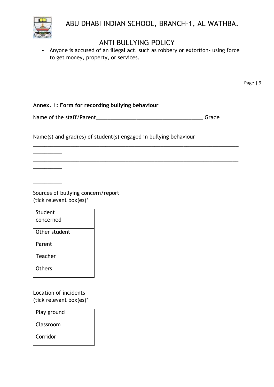

### ANTI BULLYING POLICY

• Anyone is accused of an illegal act, such as robbery or extortion- using force to get money, property, or services.

**Annex. 1: Form for recording bullying behaviour** 

Name of the staff/Parent\_\_\_\_\_\_\_\_\_\_\_\_\_\_\_\_\_\_\_\_\_\_\_\_\_\_\_\_\_\_\_\_\_\_\_\_\_ Grade

\_\_\_\_\_\_\_\_\_\_\_\_\_\_\_\_\_\_\_\_\_\_\_\_\_\_\_\_\_\_\_\_\_\_\_\_\_\_\_\_\_\_\_\_\_\_\_\_\_\_\_\_\_\_\_\_\_\_\_\_\_\_\_\_\_\_\_\_\_\_\_

\_\_\_\_\_\_\_\_\_\_\_\_\_\_\_\_\_\_\_\_\_\_\_\_\_\_\_\_\_\_\_\_\_\_\_\_\_\_\_\_\_\_\_\_\_\_\_\_\_\_\_\_\_\_\_\_\_\_\_\_\_\_\_\_\_\_\_\_\_\_\_

\_\_\_\_\_\_\_\_\_\_\_\_\_\_\_\_\_\_\_\_\_\_\_\_\_\_\_\_\_\_\_\_\_\_\_\_\_\_\_\_\_\_\_\_\_\_\_\_\_\_\_\_\_\_\_\_\_\_\_\_\_\_\_\_\_\_\_\_\_\_\_

Name(s) and grad(es) of student(s) engaged in bullying behaviour

Sources of bullying concern/report (tick relevant box(es)\*

| Student       |  |
|---------------|--|
| concerned     |  |
| Other student |  |
| Parent        |  |
| Teacher       |  |
| <b>Others</b> |  |

\_\_\_\_\_\_\_\_\_\_\_\_\_\_\_\_\_\_

\_\_\_\_\_\_\_\_\_\_

 $\overline{\phantom{a}}$  , where  $\overline{\phantom{a}}$ 

 $\overline{\phantom{a}}$ 

Location of incidents (tick relevant box(es)\*

| Play ground |  |
|-------------|--|
| Classroom   |  |
| Corridor    |  |

Page | 9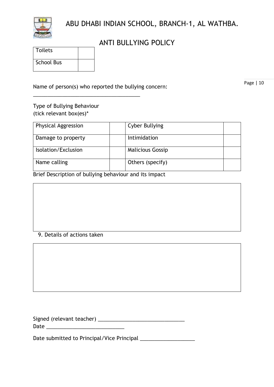

### ANTI BULLYING POLICY

| <b>Toilets</b>    |  |
|-------------------|--|
| <b>School Bus</b> |  |

Name of person(s) who reported the bullying concern:

\_\_\_\_\_\_\_\_\_\_\_\_\_\_\_\_\_\_\_\_\_\_\_\_\_\_\_\_\_\_\_\_\_\_\_\_\_

Page | 10

#### Type of Bullying Behaviour (tick relevant box(es)\*

| <b>Physical Aggression</b> | <b>Cyber Bullying</b>   |  |
|----------------------------|-------------------------|--|
| Damage to property         | <b>Intimidation</b>     |  |
| Isolation/Exclusion        | <b>Malicious Gossip</b> |  |
| Name calling               | Others (specify)        |  |

Brief Description of bullying behaviour and its impact

#### 9. Details of actions taken

| Signed (relevant teacher) |  |
|---------------------------|--|
| Date                      |  |

Date submitted to Principal/Vice Principal \_\_\_\_\_\_\_\_\_\_\_\_\_\_\_\_\_\_\_